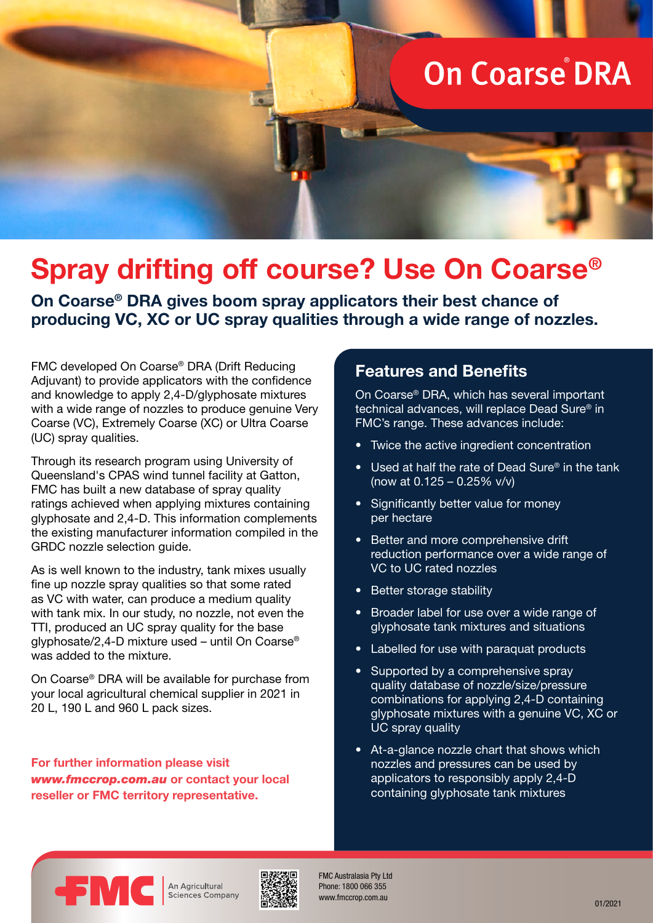# **On Coarse DRA**

# **Spray drifting off course? Use On Coarse®**

**On Coarse® DRA gives boom spray applicators their best chance of producing VC, XC or UC spray qualities through a wide range of nozzles.**

FMC developed On Coarse® DRA (Drift Reducing Adjuvant) to provide applicators with the confidence and knowledge to apply 2,4-D/glyphosate mixtures with a wide range of nozzles to produce genuine Very Coarse (VC), Extremely Coarse (XC) or Ultra Coarse (UC) spray qualities.

Through its research program using University of Queensland's CPAS wind tunnel facility at Gatton, FMC has built a new database of spray quality ratings achieved when applying mixtures containing glyphosate and 2,4-D. This information complements the existing manufacturer information compiled in the GRDC nozzle selection guide.

As is well known to the industry, tank mixes usually fine up nozzle spray qualities so that some rated as VC with water, can produce a medium quality with tank mix. In our study, no nozzle, not even the TTI, produced an UC spray quality for the base glyphosate/2,4-D mixture used – until On Coarse® was added to the mixture.

On Coarse® DRA will be available for purchase from your local agricultural chemical supplier in 2021 in 20 L, 190 L and 960 L pack sizes.

**For further information please visit**  *www.fmccrop.com.au* **or contact your local reseller or FMC territory representative.**

#### **Features and Benefits**

On Coarse® DRA, which has several important technical advances, will replace Dead Sure® in FMC's range. These advances include:

- Twice the active ingredient concentration
- Used at half the rate of Dead Sure® in the tank (now at 0.125 – 0.25% v/v)
- Significantly better value for money per hectare
- Better and more comprehensive drift reduction performance over a wide range of VC to UC rated nozzles
- Better storage stability
- Broader label for use over a wide range of glyphosate tank mixtures and situations
- Labelled for use with paraquat products
- Supported by a comprehensive spray quality database of nozzle/size/pressure combinations for applying 2,4-D containing glyphosate mixtures with a genuine VC, XC or UC spray quality
- At-a-glance nozzle chart that shows which nozzles and pressures can be used by applicators to responsibly apply 2,4-D containing glyphosate tank mixtures



An Agricultural Sciences Company



FMC Australasia Pty Ltd Phone: 1800 066 355 www.fmccrop.com.au 01/2021